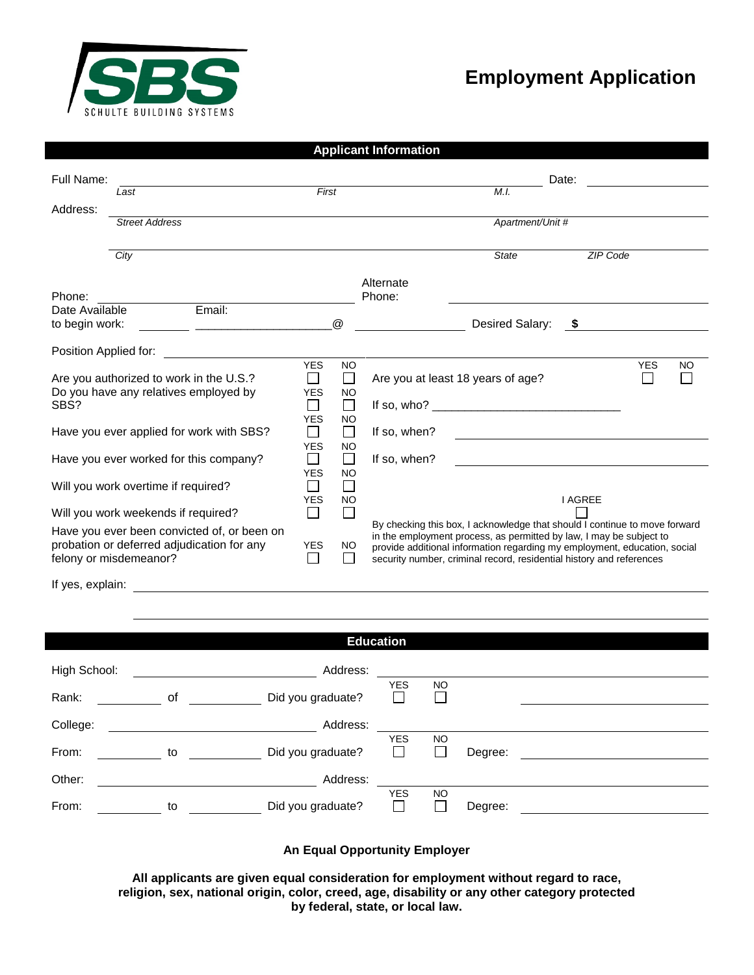

## **Employment Application**

|                                                                                                                     |                                                         |                                    |                                  | <b>Applicant Information</b> |                                                                                                                                                                                                                                                                                                        |                |            |           |
|---------------------------------------------------------------------------------------------------------------------|---------------------------------------------------------|------------------------------------|----------------------------------|------------------------------|--------------------------------------------------------------------------------------------------------------------------------------------------------------------------------------------------------------------------------------------------------------------------------------------------------|----------------|------------|-----------|
| Full Name:                                                                                                          |                                                         |                                    |                                  |                              | Date:                                                                                                                                                                                                                                                                                                  |                |            |           |
|                                                                                                                     | Last                                                    | First                              |                                  |                              | M.L.                                                                                                                                                                                                                                                                                                   |                |            |           |
| Address:                                                                                                            |                                                         |                                    |                                  |                              |                                                                                                                                                                                                                                                                                                        |                |            |           |
|                                                                                                                     | <b>Street Address</b>                                   |                                    |                                  |                              | Apartment/Unit #                                                                                                                                                                                                                                                                                       |                |            |           |
|                                                                                                                     | City                                                    |                                    |                                  |                              | <b>State</b>                                                                                                                                                                                                                                                                                           | ZIP Code       |            |           |
|                                                                                                                     |                                                         |                                    |                                  |                              |                                                                                                                                                                                                                                                                                                        |                |            |           |
|                                                                                                                     |                                                         |                                    |                                  | Alternate                    |                                                                                                                                                                                                                                                                                                        |                |            |           |
| Phone:                                                                                                              |                                                         |                                    |                                  | Phone:                       |                                                                                                                                                                                                                                                                                                        |                |            |           |
| Date Available                                                                                                      | Email:                                                  |                                    |                                  |                              |                                                                                                                                                                                                                                                                                                        |                |            |           |
| to begin work:                                                                                                      | <u> 1980 - Jan Barbara, martxa al II-lea (h. 1980).</u> |                                    | $^{\textregistered}$             |                              | Desired Salary:                                                                                                                                                                                                                                                                                        | - \$           |            |           |
| Position Applied for:                                                                                               |                                                         |                                    |                                  |                              |                                                                                                                                                                                                                                                                                                        |                |            |           |
| Are you authorized to work in the U.S.?                                                                             |                                                         | <b>YES</b><br>$\Box$<br><b>YES</b> | <b>NO</b><br>$\Box$<br><b>NO</b> |                              | Are you at least 18 years of age?                                                                                                                                                                                                                                                                      |                | <b>YES</b> | <b>NO</b> |
| Do you have any relatives employed by<br>SBS?                                                                       |                                                         | $\Box$<br><b>YES</b>               | □<br><b>NO</b>                   |                              |                                                                                                                                                                                                                                                                                                        |                |            |           |
| Have you ever applied for work with SBS?                                                                            |                                                         | $\Box$<br><b>YES</b>               | $\Box$<br><b>NO</b>              | If so, when?                 |                                                                                                                                                                                                                                                                                                        |                |            |           |
| Have you ever worked for this company?                                                                              |                                                         | П<br><b>YES</b>                    | $\Box$<br><b>NO</b>              | If so, when?                 |                                                                                                                                                                                                                                                                                                        |                |            |           |
| Will you work overtime if required?                                                                                 |                                                         | $\mathcal{L}$<br><b>YES</b>        | $\Box$<br><b>NO</b>              |                              |                                                                                                                                                                                                                                                                                                        | <b>I AGREE</b> |            |           |
|                                                                                                                     | Will you work weekends if required?                     | $\Box$                             | $\mathbf{L}$                     |                              |                                                                                                                                                                                                                                                                                                        |                |            |           |
| Have you ever been convicted of, or been on<br>probation or deferred adjudication for any<br>felony or misdemeanor? |                                                         |                                    | NO.                              |                              | By checking this box, I acknowledge that should I continue to move forward<br>in the employment process, as permitted by law, I may be subject to<br>provide additional information regarding my employment, education, social<br>security number, criminal record, residential history and references |                |            |           |

If yes, explain:

|              |    |                   | <b>Education</b> |                     |         |  |
|--------------|----|-------------------|------------------|---------------------|---------|--|
| High School: |    | Address:          |                  |                     |         |  |
| Rank:        | οf | Did you graduate? | <b>YES</b>       | <b>NO</b><br>$\Box$ |         |  |
| College:     |    | Address:          |                  |                     |         |  |
| From:        | to | Did you graduate? | <b>YES</b>       | <b>NO</b><br>П      | Degree: |  |
| Other:       |    | Address:          |                  |                     |         |  |
| From:        | to | Did you graduate? | <b>YES</b>       | <b>NO</b><br>Γ      | Degree: |  |

#### **An Equal Opportunity Employer**

**All applicants are given equal consideration for employment without regard to race, religion, sex, national origin, color, creed, age, disability or any other category protected by federal, state, or local law.**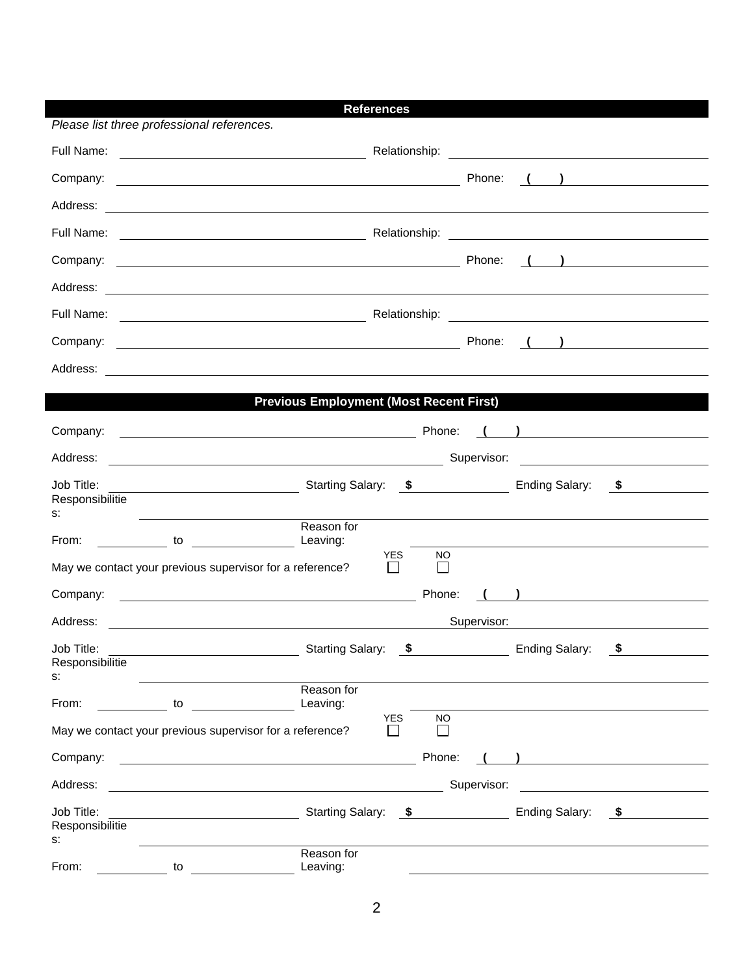|                                     |                                                                                                                                                                                    | <b>References</b>                              |           |             |                                                    |                                                                                                         |
|-------------------------------------|------------------------------------------------------------------------------------------------------------------------------------------------------------------------------------|------------------------------------------------|-----------|-------------|----------------------------------------------------|---------------------------------------------------------------------------------------------------------|
|                                     | Please list three professional references.                                                                                                                                         |                                                |           |             |                                                    |                                                                                                         |
| Full Name:                          | <u> 1989 - Johann Barn, fransk politik (d. 1989)</u>                                                                                                                               |                                                |           |             |                                                    |                                                                                                         |
|                                     |                                                                                                                                                                                    |                                                |           |             |                                                    | $\left(\begin{array}{cc} 1 & 1 \end{array}\right)$                                                      |
| Address:                            | <u> 1989 - Johann Harry Harry Harry Harry Harry Harry Harry Harry Harry Harry Harry Harry Harry Harry Harry Harry</u>                                                              |                                                |           |             |                                                    |                                                                                                         |
|                                     |                                                                                                                                                                                    |                                                |           |             |                                                    |                                                                                                         |
|                                     |                                                                                                                                                                                    |                                                |           |             |                                                    | $\left(\begin{array}{c} \begin{array}{c} \begin{array}{c} \end{array}\\ \end{array}\right) \end{array}$ |
|                                     |                                                                                                                                                                                    |                                                |           |             |                                                    |                                                                                                         |
|                                     |                                                                                                                                                                                    |                                                |           |             |                                                    |                                                                                                         |
|                                     |                                                                                                                                                                                    |                                                |           | Phone:      |                                                    | $\left(\begin{array}{c} \begin{array}{c} \end{array}\\ \end{array}\right)$                              |
| Address:                            | <u> 1999 - Johann Harry Harry Harry Harry Harry Harry Harry Harry Harry Harry Harry Harry Harry Harry Harry Harry</u>                                                              |                                                |           |             |                                                    |                                                                                                         |
|                                     |                                                                                                                                                                                    | <b>Previous Employment (Most Recent First)</b> |           |             |                                                    |                                                                                                         |
| Company:                            |                                                                                                                                                                                    |                                                |           |             |                                                    |                                                                                                         |
|                                     |                                                                                                                                                                                    |                                                |           |             |                                                    |                                                                                                         |
| Address:                            | <u> 2008 - Johann Stoff, fransk politik (d. 1878)</u>                                                                                                                              |                                                |           |             |                                                    | Supervisor: <u>www.community.community.community.community.community.community.com</u>                  |
| Job Title:<br>Responsibilitie<br>s: | <b>Ending Salary:</b> Starting Salary: <b>\$</b> Ending Salary: <b>\$</b> Ending Salary: <b>\$</b>                                                                                 |                                                |           |             |                                                    |                                                                                                         |
| From:                               | <u> Alexandria de la contrada de la contrada de la contrada de la contrada de la contrada de la contrada de la c</u><br><b>Example 20</b> to to the set of the set of the Leaving: | Reason for                                     |           |             |                                                    |                                                                                                         |
|                                     | May we contact your previous supervisor for a reference?                                                                                                                           | <b>YES</b><br>П                                | <b>NO</b> |             |                                                    |                                                                                                         |
| Company:                            | <u> 1999 - Johann Barbara, martin amerikan basal dan berasal dan berasal dalam basal dan berasal dalam berasal da</u>                                                              |                                                | Phone:    |             | $\left(\begin{array}{cc} 1 & 1 \end{array}\right)$ |                                                                                                         |
| Address:                            |                                                                                                                                                                                    |                                                |           | Supervisor: |                                                    |                                                                                                         |
| Job Title:                          |                                                                                                                                                                                    | <b>Starting Salary:</b><br>\$                  |           |             | <b>Ending Salary:</b>                              | \$                                                                                                      |
| Responsibilitie<br>s:               |                                                                                                                                                                                    |                                                |           |             |                                                    |                                                                                                         |
| From:<br><u>to</u>                  |                                                                                                                                                                                    | Reason for<br>Leaving:                         |           |             |                                                    |                                                                                                         |
|                                     | May we contact your previous supervisor for a reference?                                                                                                                           | <b>YES</b><br>$\blacksquare$                   | <b>NO</b> |             |                                                    |                                                                                                         |
| Company:                            |                                                                                                                                                                                    |                                                | Phone:    |             | ) and the contract of $\overline{\phantom{a}}$     |                                                                                                         |
| Address:                            |                                                                                                                                                                                    |                                                |           | Supervisor: |                                                    |                                                                                                         |
| Job Title:<br>Responsibilitie       |                                                                                                                                                                                    | <b>Starting Salary:</b>                        | $\sim$    |             | <b>Ending Salary:</b>                              | - \$                                                                                                    |
| s:                                  |                                                                                                                                                                                    | Reason for                                     |           |             |                                                    |                                                                                                         |
| From:                               | to to                                                                                                                                                                              | Leaving:                                       |           |             |                                                    |                                                                                                         |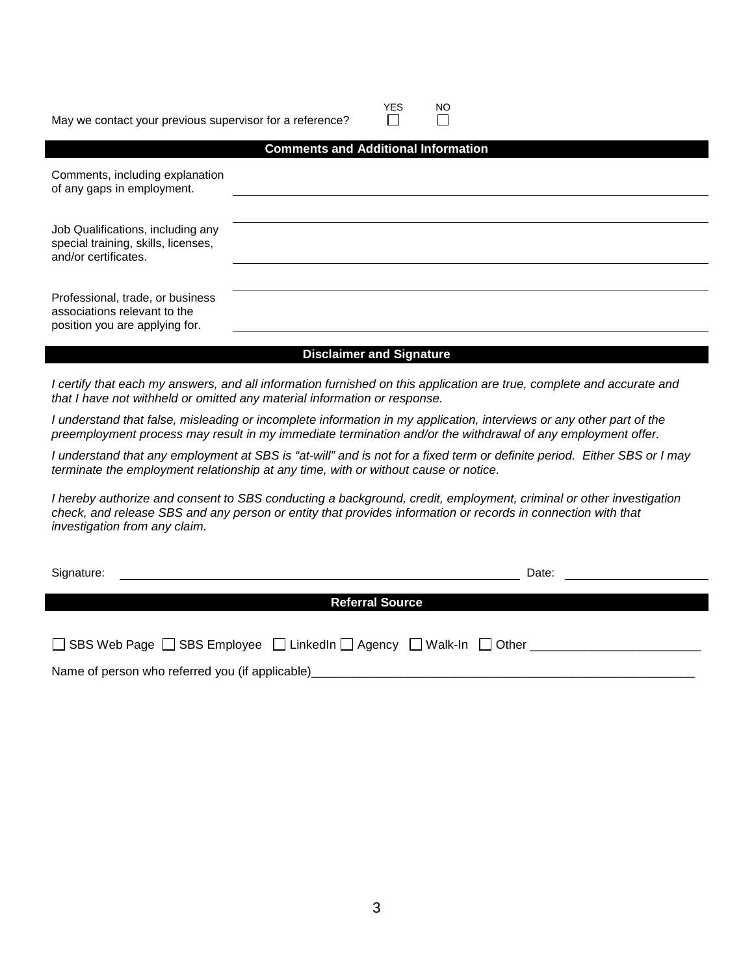#### May we contact your previous supervisor for a reference?

|                                                                                                    | <b>Comments and Additional Information</b> |
|----------------------------------------------------------------------------------------------------|--------------------------------------------|
| Comments, including explanation<br>of any gaps in employment.                                      |                                            |
|                                                                                                    |                                            |
| Job Qualifications, including any<br>special training, skills, licenses,<br>and/or certificates.   |                                            |
|                                                                                                    |                                            |
| Professional, trade, or business<br>associations relevant to the<br>position you are applying for. |                                            |

YES NO

 $\Box$ 

#### **Disclaimer and Signature**

*I certify that each my answers, and all information furnished on this application are true, complete and accurate and that I have not withheld or omitted any material information or response.*

*I understand that false, misleading or incomplete information in my application, interviews or any other part of the preemployment process may result in my immediate termination and/or the withdrawal of any employment offer.*

*I understand that any employment at SBS is "at-will" and is not for a fixed term or definite period. Either SBS or I may terminate the employment relationship at any time, with or without cause or notice.*

*I hereby authorize and consent to SBS conducting a background, credit, employment, criminal or other investigation check, and release SBS and any person or entity that provides information or records in connection with that investigation from any claim.*

| Signature:                                      |                                                                                  | Date: |  |
|-------------------------------------------------|----------------------------------------------------------------------------------|-------|--|
|                                                 | <b>Referral Source</b>                                                           |       |  |
|                                                 |                                                                                  |       |  |
|                                                 | □ SBS Web Page □ SBS Employee □ LinkedIn □ Agency □ Walk-In □ Other ____________ |       |  |
| Name of person who referred you (if applicable) |                                                                                  |       |  |